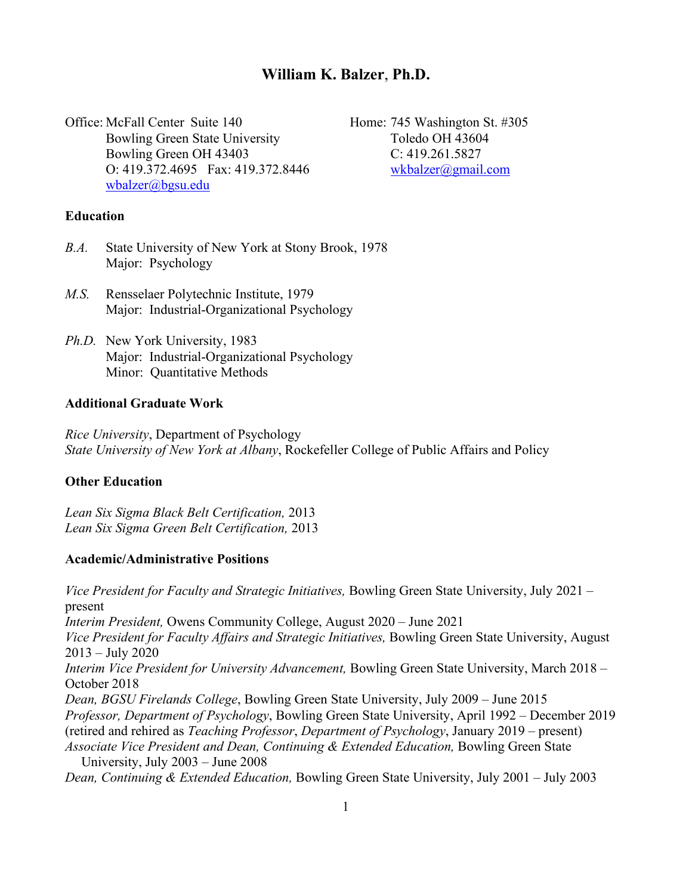# **William K. Balzer**, **Ph.D.**

Office: McFall Center Suite 140 Home: 745 Washington St. #305 Bowling Green State University Toledo OH 43604 Bowling Green OH 43403 C: 419.261.5827 O: 419.372.4695 Fax: 419.372.8446 [wkbalzer@gmail.com](mailto:wkbalzer@gmail.com) [wbalzer@bgsu.edu](mailto:wbalzer@bgsu.edu)

### **Education**

- *B.A.* State University of New York at Stony Brook, 1978 Major: Psychology
- *M.S.* Rensselaer Polytechnic Institute, 1979 Major: Industrial-Organizational Psychology
- *Ph.D.* New York University, 1983 Major: Industrial-Organizational Psychology Minor: Quantitative Methods

## **Additional Graduate Work**

*Rice University*, Department of Psychology *State University of New York at Albany*, Rockefeller College of Public Affairs and Policy

## **Other Education**

*Lean Six Sigma Black Belt Certification,* 2013 *Lean Six Sigma Green Belt Certification,* 2013

## **Academic/Administrative Positions**

*Vice President for Faculty and Strategic Initiatives,* Bowling Green State University, July 2021 – present *Interim President,* Owens Community College, August 2020 – June 2021 *Vice President for Faculty Affairs and Strategic Initiatives,* Bowling Green State University, August 2013 – July 2020 *Interim Vice President for University Advancement,* Bowling Green State University, March 2018 – October 2018 *Dean, BGSU Firelands College*, Bowling Green State University, July 2009 – June 2015 *Professor, Department of Psychology*, Bowling Green State University, April 1992 – December 2019 (retired and rehired as *Teaching Professor*, *Department of Psychology*, January 2019 – present) *Associate Vice President and Dean, Continuing & Extended Education,* Bowling Green State University, July 2003 – June 2008 *Dean, Continuing & Extended Education,* Bowling Green State University, July 2001 – July 2003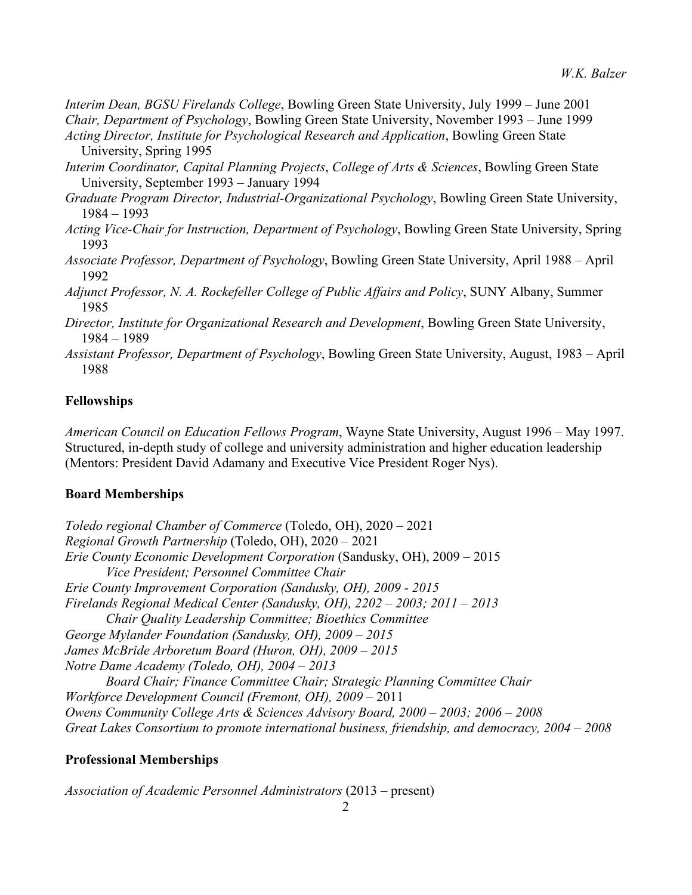*Interim Dean, BGSU Firelands College*, Bowling Green State University, July 1999 – June 2001 *Chair, Department of Psychology*, Bowling Green State University, November 1993 – June 1999

*Acting Director, Institute for Psychological Research and Application*, Bowling Green State University, Spring 1995

- *Interim Coordinator, Capital Planning Projects*, *College of Arts & Sciences*, Bowling Green State University, September 1993 – January 1994
- *Graduate Program Director, Industrial-Organizational Psychology*, Bowling Green State University, 1984 – 1993
- *Acting Vice-Chair for Instruction, Department of Psychology*, Bowling Green State University, Spring 1993
- *Associate Professor, Department of Psychology*, Bowling Green State University, April 1988 April 1992
- *Adjunct Professor, N. A. Rockefeller College of Public Affairs and Policy*, SUNY Albany, Summer 1985
- *Director, Institute for Organizational Research and Development*, Bowling Green State University, 1984 – 1989
- *Assistant Professor, Department of Psychology*, Bowling Green State University, August, 1983 April 1988

## **Fellowships**

*American Council on Education Fellows Program*, Wayne State University, August 1996 – May 1997. Structured, in-depth study of college and university administration and higher education leadership (Mentors: President David Adamany and Executive Vice President Roger Nys).

## **Board Memberships**

*Toledo regional Chamber of Commerce* (Toledo, OH), 2020 – 2021 *Regional Growth Partnership* (Toledo, OH), 2020 – 2021 *Erie County Economic Development Corporation* (Sandusky, OH), 2009 – 2015 *Vice President; Personnel Committee Chair Erie County Improvement Corporation (Sandusky, OH), 2009 - 2015 Firelands Regional Medical Center (Sandusky, OH), 2202 – 2003; 2011 – 2013 Chair Quality Leadership Committee; Bioethics Committee George Mylander Foundation (Sandusky, OH), 2009 – 2015 James McBride Arboretum Board (Huron, OH), 2009 – 2015 Notre Dame Academy (Toledo, OH), 2004 – 2013 Board Chair; Finance Committee Chair; Strategic Planning Committee Chair Workforce Development Council (Fremont, OH), 2009* – 2011 *Owens Community College Arts & Sciences Advisory Board, 2000 – 2003; 2006 – 2008 Great Lakes Consortium to promote international business, friendship, and democracy, 2004 – 2008*

## **Professional Memberships**

*Association of Academic Personnel Administrators* (2013 – present)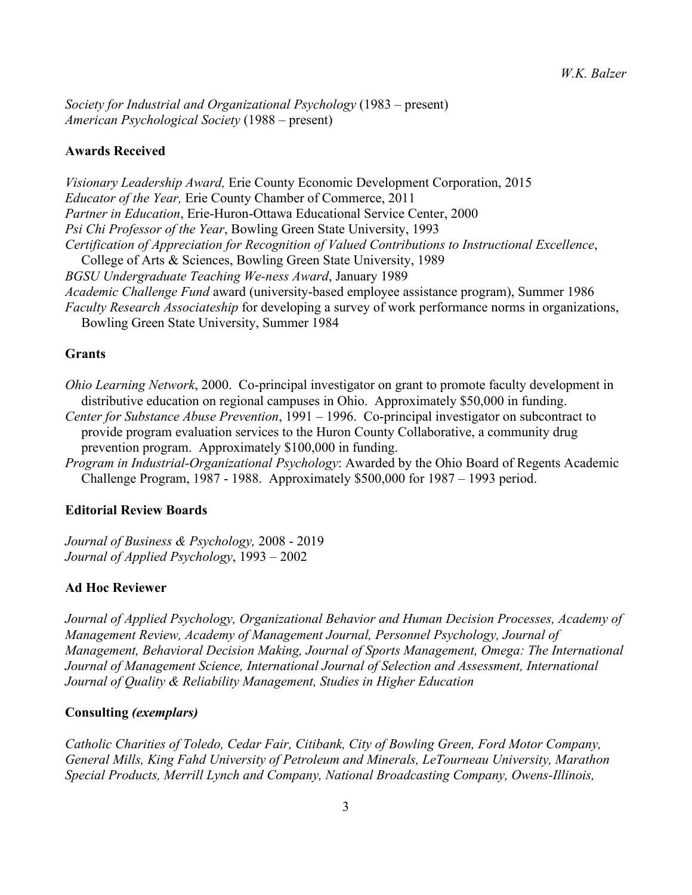*Society for Industrial and Organizational Psychology* (1983 – present) *American Psychological Society* (1988 – present)

## **Awards Received**

*Visionary Leadership Award,* Erie County Economic Development Corporation, 2015 *Educator of the Year,* Erie County Chamber of Commerce, 2011 *Partner in Education*, Erie-Huron-Ottawa Educational Service Center, 2000 *Psi Chi Professor of the Year*, Bowling Green State University, 1993 *Certification of Appreciation for Recognition of Valued Contributions to Instructional Excellence*, College of Arts & Sciences, Bowling Green State University, 1989 *BGSU Undergraduate Teaching We-ness Award*, January 1989 *Academic Challenge Fund* award (university-based employee assistance program), Summer 1986 *Faculty Research Associateship* for developing a survey of work performance norms in organizations, Bowling Green State University, Summer 1984

## **Grants**

*Ohio Learning Network*, 2000. Co-principal investigator on grant to promote faculty development in distributive education on regional campuses in Ohio. Approximately \$50,000 in funding. *Center for Substance Abuse Prevention*, 1991 – 1996. Co-principal investigator on subcontract to

provide program evaluation services to the Huron County Collaborative, a community drug prevention program. Approximately \$100,000 in funding.

*Program in Industrial-Organizational Psychology*: Awarded by the Ohio Board of Regents Academic Challenge Program, 1987 - 1988. Approximately \$500,000 for 1987 – 1993 period.

### **Editorial Review Boards**

*Journal of Business & Psychology,* 2008 - 2019 *Journal of Applied Psychology*, 1993 – 2002

#### **Ad Hoc Reviewer**

*Journal of Applied Psychology, Organizational Behavior and Human Decision Processes, Academy of Management Review, Academy of Management Journal, Personnel Psychology, Journal of Management, Behavioral Decision Making, Journal of Sports Management, Omega: The International Journal of Management Science, International Journal of Selection and Assessment, International Journal of Quality & Reliability Management, Studies in Higher Education*

### **Consulting** *(exemplars)*

*Catholic Charities of Toledo, Cedar Fair, Citibank, City of Bowling Green, Ford Motor Company, General Mills, King Fahd University of Petroleum and Minerals, LeTourneau University, Marathon Special Products, Merrill Lynch and Company, National Broadcasting Company, Owens-Illinois,*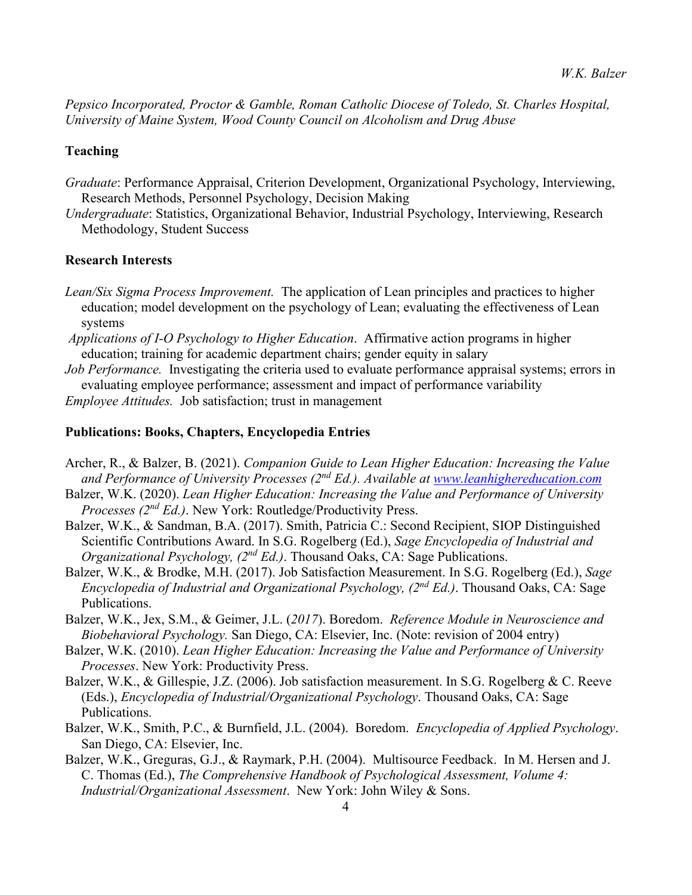*Pepsico Incorporated, Proctor & Gamble, Roman Catholic Diocese of Toledo, St. Charles Hospital, University of Maine System, Wood County Council on Alcoholism and Drug Abuse* 

## **Teaching**

- *Graduate*: Performance Appraisal, Criterion Development, Organizational Psychology, Interviewing, Research Methods, Personnel Psychology, Decision Making
- *Undergraduate*: Statistics, Organizational Behavior, Industrial Psychology, Interviewing, Research Methodology, Student Success

## **Research Interests**

- *Lean/Six Sigma Process Improvement.* The application of Lean principles and practices to higher education; model development on the psychology of Lean; evaluating the effectiveness of Lean systems
- *Applications of I-O Psychology to Higher Education*. Affirmative action programs in higher education; training for academic department chairs; gender equity in salary
- *Job Performance.* Investigating the criteria used to evaluate performance appraisal systems; errors in evaluating employee performance; assessment and impact of performance variability
- *Employee Attitudes.* Job satisfaction; trust in management

#### **Publications: Books, Chapters, Encyclopedia Entries**

- Archer, R., & Balzer, B. (2021). *Companion Guide to Lean Higher Education: Increasing the Value and Performance of University Processes (2nd Ed.). Available at [www.leanhighereducation.com](http://www.leanhighereducation.com/)*
- Balzer, W.K. (2020). *Lean Higher Education: Increasing the Value and Performance of University Processes (2nd Ed.)*. New York: Routledge/Productivity Press.
- Balzer, W.K., & Sandman, B.A. (2017). Smith, Patricia C.: Second Recipient, SIOP Distinguished Scientific Contributions Award. In S.G. Rogelberg (Ed.), *Sage Encyclopedia of Industrial and Organizational Psychology, (2nd Ed.)*. Thousand Oaks, CA: Sage Publications.
- Balzer, W.K., & Brodke, M.H. (2017). Job Satisfaction Measurement. In S.G. Rogelberg (Ed.), *Sage Encyclopedia of Industrial and Organizational Psychology, (2nd Ed.)*. Thousand Oaks, CA: Sage Publications.
- Balzer, W.K., Jex, S.M., & Geimer, J.L. (*2017*). Boredom. *Reference Module in Neuroscience and Biobehavioral Psychology.* San Diego, CA: Elsevier, Inc. (Note: revision of 2004 entry)
- Balzer, W.K. (2010). *Lean Higher Education: Increasing the Value and Performance of University Processes*. New York: Productivity Press.
- Balzer, W.K., & Gillespie, J.Z. (2006). Job satisfaction measurement. In S.G. Rogelberg & C. Reeve (Eds.), *Encyclopedia of Industrial/Organizational Psychology*. Thousand Oaks, CA: Sage Publications.
- Balzer, W.K., Smith, P.C., & Burnfield, J.L. (2004). Boredom. *Encyclopedia of Applied Psychology*. San Diego, CA: Elsevier, Inc.
- Balzer, W.K., Greguras, G.J., & Raymark, P.H. (2004). Multisource Feedback. In M. Hersen and J. C. Thomas (Ed.), *The Comprehensive Handbook of Psychological Assessment, Volume 4: Industrial/Organizational Assessment*. New York: John Wiley & Sons.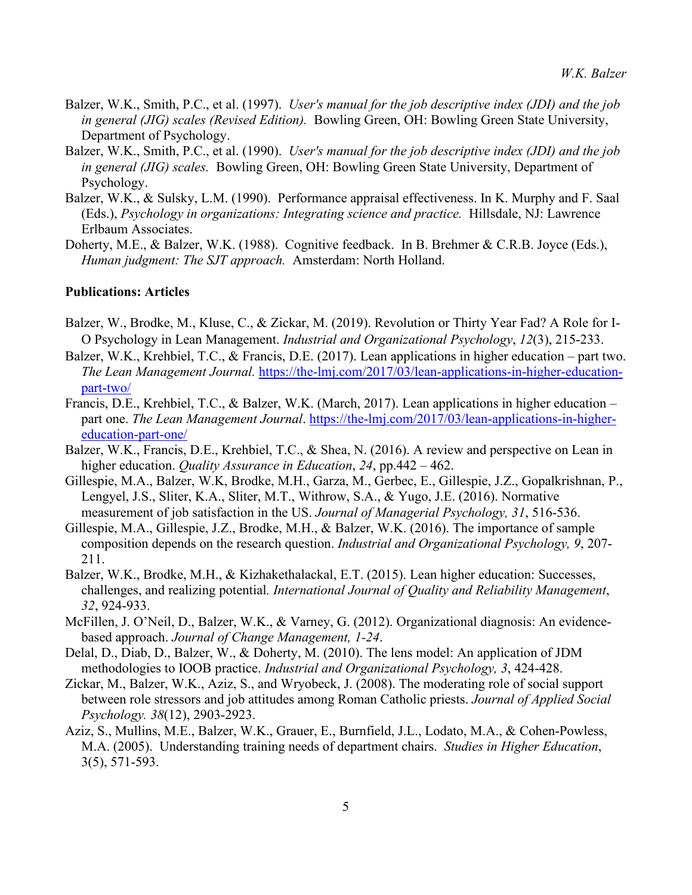- Balzer, W.K., Smith, P.C., et al. (1997). *User's manual for the job descriptive index (JDI) and the job in general (JIG) scales (Revised Edition).* Bowling Green, OH: Bowling Green State University, Department of Psychology.
- Balzer, W.K., Smith, P.C., et al. (1990). *User's manual for the job descriptive index (JDI) and the job in general (JIG) scales.* Bowling Green, OH: Bowling Green State University, Department of Psychology.
- Balzer, W.K., & Sulsky, L.M. (1990). Performance appraisal effectiveness. In K. Murphy and F. Saal (Eds.), *Psychology in organizations: Integrating science and practice.* Hillsdale, NJ: Lawrence Erlbaum Associates.
- Doherty, M.E., & Balzer, W.K. (1988). Cognitive feedback. In B. Brehmer & C.R.B. Joyce (Eds.), *Human judgment: The SJT approach.* Amsterdam: North Holland.

### **Publications: Articles**

- Balzer, W., Brodke, M., Kluse, C., & Zickar, M. (2019). Revolution or Thirty Year Fad? A Role for I-O Psychology in Lean Management. *Industrial and Organizational Psychology*, *12*(3), 215-233.
- Balzer, W.K., Krehbiel, T.C., & Francis, D.E. (2017). Lean applications in higher education part two. *The Lean Management Journal.* [https://the-lmj.com/2017/03/lean-applications-in-higher-education](https://the-lmj.com/2017/03/lean-applications-in-higher-education-part-two/)[part-two/](https://the-lmj.com/2017/03/lean-applications-in-higher-education-part-two/)
- Francis, D.E., Krehbiel, T.C., & Balzer, W.K. (March, 2017). Lean applications in higher education part one. *The Lean Management Journal*. [https://the-lmj.com/2017/03/lean-applications-in-higher](https://the-lmj.com/2017/03/lean-applications-in-higher-education-part-one/)[education-part-one/](https://the-lmj.com/2017/03/lean-applications-in-higher-education-part-one/)
- Balzer, W.K., Francis, D.E., Krehbiel, T.C., & Shea, N. (2016). A review and perspective on Lean in higher education. *Quality Assurance in Education*, *24*, pp.442 – 462.
- Gillespie, M.A., Balzer, W.K, Brodke, M.H., Garza, M., Gerbec, E., Gillespie, J.Z., Gopalkrishnan, P., Lengyel, J.S., Sliter, K.A., Sliter, M.T., Withrow, S.A., & Yugo, J.E. (2016). Normative measurement of job satisfaction in the US. *Journal of Managerial Psychology, 31*, 516-536.
- Gillespie, M.A., Gillespie, J.Z., Brodke, M.H., & Balzer, W.K. (2016). The importance of sample composition depends on the research question. *Industrial and Organizational Psychology, 9*, 207- 211.
- Balzer, W.K., Brodke, M.H., & Kizhakethalackal, E.T. (2015). Lean higher education: Successes, challenges, and realizing potential*. International Journal of Quality and Reliability Management*, *32*, 924-933.
- McFillen, J. O'Neil, D., Balzer, W.K., & Varney, G. (2012). Organizational diagnosis: An evidencebased approach. *Journal of Change Management, 1-24*.
- Delal, D., Diab, D., Balzer, W., & Doherty, M. (2010). The lens model: An application of JDM methodologies to IOOB practice. *Industrial and Organizational Psychology, 3*, 424-428.
- Zickar, M., Balzer, W.K., Aziz, S., and Wryobeck, J. (2008). The moderating role of social support between role stressors and job attitudes among Roman Catholic priests. *Journal of Applied Social Psychology. 38*(12), 2903-2923.
- Aziz, S., Mullins, M.E., Balzer, W.K., Grauer, E., Burnfield, J.L., Lodato, M.A., & Cohen-Powless, M.A. (2005). Understanding training needs of department chairs. *Studies in Higher Education*, 3(5), 571-593.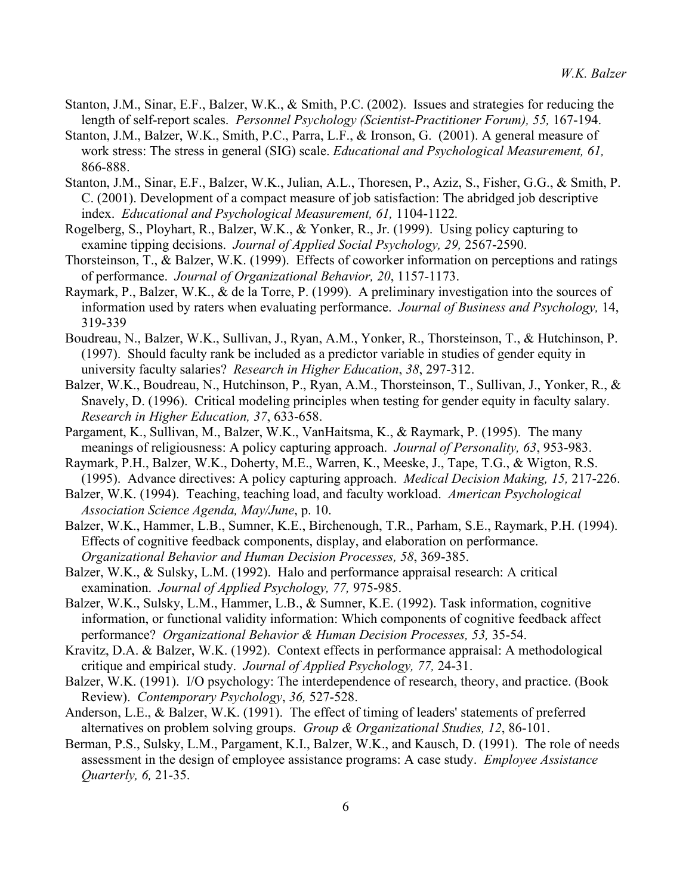- Stanton, J.M., Sinar, E.F., Balzer, W.K., & Smith, P.C. (2002). Issues and strategies for reducing the length of self-report scales. *Personnel Psychology (Scientist-Practitioner Forum), 55,* 167-194.
- Stanton, J.M., Balzer, W.K., Smith, P.C., Parra, L.F., & Ironson, G. (2001). A general measure of work stress: The stress in general (SIG) scale. *Educational and Psychological Measurement, 61,*  866-888.
- Stanton, J.M., Sinar, E.F., Balzer, W.K., Julian, A.L., Thoresen, P., Aziz, S., Fisher, G.G., & Smith, P. C. (2001). Development of a compact measure of job satisfaction: The abridged job descriptive index. *Educational and Psychological Measurement, 61,* 1104-1122*.*
- Rogelberg, S., Ployhart, R., Balzer, W.K., & Yonker, R., Jr. (1999). Using policy capturing to examine tipping decisions. *Journal of Applied Social Psychology, 29,* 2567-2590.
- Thorsteinson, T., & Balzer, W.K. (1999). Effects of coworker information on perceptions and ratings of performance. *Journal of Organizational Behavior, 20*, 1157-1173.
- Raymark, P., Balzer, W.K., & de la Torre, P. (1999). A preliminary investigation into the sources of information used by raters when evaluating performance. *Journal of Business and Psychology,* 14, 319-339
- Boudreau, N., Balzer, W.K., Sullivan, J., Ryan, A.M., Yonker, R., Thorsteinson, T., & Hutchinson, P. (1997). Should faculty rank be included as a predictor variable in studies of gender equity in university faculty salaries? *Research in Higher Education*, *38*, 297-312.
- Balzer, W.K., Boudreau, N., Hutchinson, P., Ryan, A.M., Thorsteinson, T., Sullivan, J., Yonker, R., & Snavely, D. (1996). Critical modeling principles when testing for gender equity in faculty salary. *Research in Higher Education, 37*, 633-658.
- Pargament, K., Sullivan, M., Balzer, W.K., VanHaitsma, K., & Raymark, P. (1995). The many meanings of religiousness: A policy capturing approach. *Journal of Personality, 63*, 953-983.
- Raymark, P.H., Balzer, W.K., Doherty, M.E., Warren, K., Meeske, J., Tape, T.G., & Wigton, R.S. (1995). Advance directives: A policy capturing approach. *Medical Decision Making, 15,* 217-226.
- Balzer, W.K. (1994). Teaching, teaching load, and faculty workload. *American Psychological Association Science Agenda, May/June*, p. 10.
- Balzer, W.K., Hammer, L.B., Sumner, K.E., Birchenough, T.R., Parham, S.E., Raymark, P.H. (1994). Effects of cognitive feedback components, display, and elaboration on performance. *Organizational Behavior and Human Decision Processes, 58*, 369-385.
- Balzer, W.K., & Sulsky, L.M. (1992). Halo and performance appraisal research: A critical examination. *Journal of Applied Psychology, 77,* 975-985.
- Balzer, W.K., Sulsky, L.M., Hammer, L.B., & Sumner, K.E. (1992). Task information, cognitive information, or functional validity information: Which components of cognitive feedback affect performance? *Organizational Behavior & Human Decision Processes, 53,* 35-54.
- Kravitz, D.A. & Balzer, W.K. (1992). Context effects in performance appraisal: A methodological critique and empirical study. *Journal of Applied Psychology, 77,* 24-31.
- Balzer, W.K. (1991). I/O psychology: The interdependence of research, theory, and practice. (Book Review). *Contemporary Psychology*, *36,* 527-528.
- Anderson, L.E., & Balzer, W.K. (1991). The effect of timing of leaders' statements of preferred alternatives on problem solving groups. *Group & Organizational Studies, 12*, 86-101.
- Berman, P.S., Sulsky, L.M., Pargament, K.I., Balzer, W.K., and Kausch, D. (1991). The role of needs assessment in the design of employee assistance programs: A case study. *Employee Assistance Quarterly, 6,* 21-35.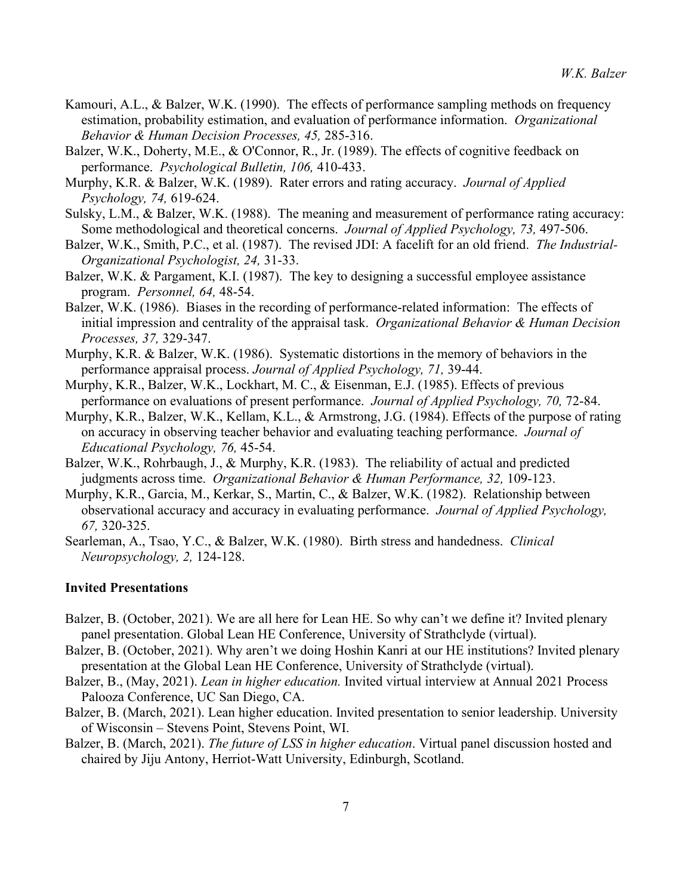- Kamouri, A.L., & Balzer, W.K. (1990). The effects of performance sampling methods on frequency estimation, probability estimation, and evaluation of performance information. *Organizational Behavior & Human Decision Processes, 45,* 285-316.
- Balzer, W.K., Doherty, M.E., & O'Connor, R., Jr. (1989). The effects of cognitive feedback on performance. *Psychological Bulletin, 106,* 410-433.
- Murphy, K.R. & Balzer, W.K. (1989). Rater errors and rating accuracy. *Journal of Applied Psychology, 74,* 619-624.
- Sulsky, L.M., & Balzer, W.K. (1988). The meaning and measurement of performance rating accuracy: Some methodological and theoretical concerns. *Journal of Applied Psychology, 73,* 497-506.
- Balzer, W.K., Smith, P.C., et al. (1987). The revised JDI: A facelift for an old friend. *The Industrial-Organizational Psychologist, 24,* 31-33.
- Balzer, W.K. & Pargament, K.I. (1987). The key to designing a successful employee assistance program. *Personnel, 64,* 48-54.
- Balzer, W.K. (1986). Biases in the recording of performance-related information: The effects of initial impression and centrality of the appraisal task. *Organizational Behavior & Human Decision Processes, 37,* 329-347.
- Murphy, K.R. & Balzer, W.K. (1986). Systematic distortions in the memory of behaviors in the performance appraisal process. *Journal of Applied Psychology, 71,* 39-44.
- Murphy, K.R., Balzer, W.K., Lockhart, M. C., & Eisenman, E.J. (1985). Effects of previous performance on evaluations of present performance. *Journal of Applied Psychology, 70,* 72-84.
- Murphy, K.R., Balzer, W.K., Kellam, K.L., & Armstrong, J.G. (1984). Effects of the purpose of rating on accuracy in observing teacher behavior and evaluating teaching performance. *Journal of Educational Psychology, 76,* 45-54.
- Balzer, W.K., Rohrbaugh, J., & Murphy, K.R. (1983). The reliability of actual and predicted judgments across time. *Organizational Behavior & Human Performance, 32,* 109-123.
- Murphy, K.R., Garcia, M., Kerkar, S., Martin, C., & Balzer, W.K. (1982). Relationship between observational accuracy and accuracy in evaluating performance. *Journal of Applied Psychology, 67,* 320-325.
- Searleman, A., Tsao, Y.C., & Balzer, W.K. (1980). Birth stress and handedness. *Clinical Neuropsychology, 2,* 124-128.

#### **Invited Presentations**

- Balzer, B. (October, 2021). We are all here for Lean HE. So why can't we define it? Invited plenary panel presentation. Global Lean HE Conference, University of Strathclyde (virtual).
- Balzer, B. (October, 2021). Why aren't we doing Hoshin Kanri at our HE institutions? Invited plenary presentation at the Global Lean HE Conference, University of Strathclyde (virtual).
- Balzer, B., (May, 2021). *Lean in higher education.* Invited virtual interview at Annual 2021 Process Palooza Conference, UC San Diego, CA.
- Balzer, B. (March, 2021). Lean higher education. Invited presentation to senior leadership. University of Wisconsin – Stevens Point, Stevens Point, WI.
- Balzer, B. (March, 2021). *The future of LSS in higher education*. Virtual panel discussion hosted and chaired by Jiju Antony, Herriot-Watt University, Edinburgh, Scotland.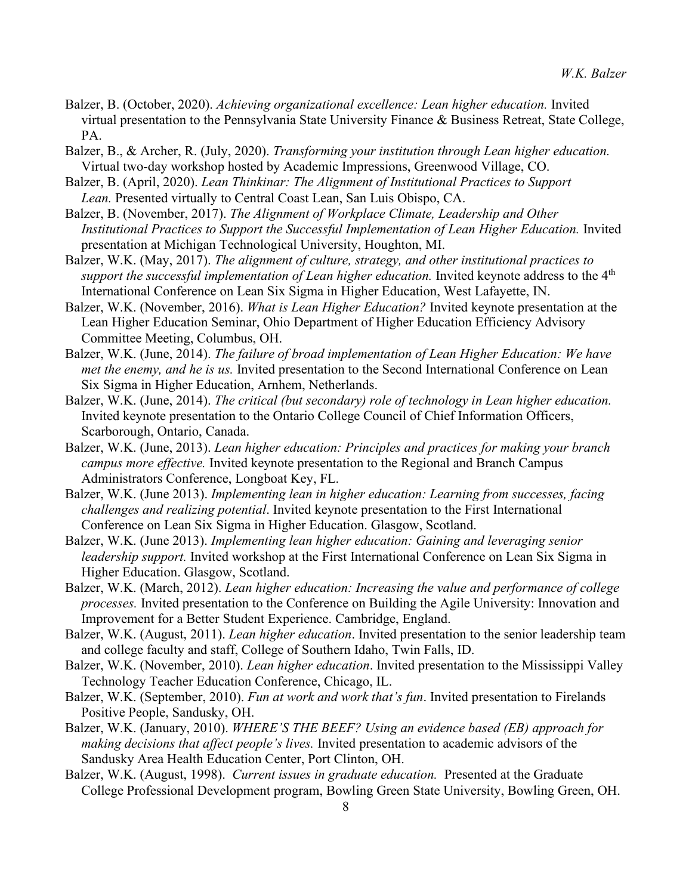- Balzer, B. (October, 2020). *Achieving organizational excellence: Lean higher education.* Invited virtual presentation to the Pennsylvania State University Finance & Business Retreat, State College, PA.
- Balzer, B., & Archer, R. (July, 2020). *Transforming your institution through Lean higher education.*  Virtual two-day workshop hosted by Academic Impressions, Greenwood Village, CO.
- Balzer, B. (April, 2020). *Lean Thinkinar: The Alignment of Institutional Practices to Support Lean.* Presented virtually to Central Coast Lean, San Luis Obispo, CA.
- Balzer, B. (November, 2017). *The Alignment of Workplace Climate, Leadership and Other Institutional Practices to Support the Successful Implementation of Lean Higher Education.* Invited presentation at Michigan Technological University, Houghton, MI.
- Balzer, W.K. (May, 2017). *The alignment of culture, strategy, and other institutional practices to support the successful implementation of Lean higher education.* Invited keynote address to the 4<sup>th</sup> International Conference on Lean Six Sigma in Higher Education, West Lafayette, IN.
- Balzer, W.K. (November, 2016). *What is Lean Higher Education?* Invited keynote presentation at the Lean Higher Education Seminar, Ohio Department of Higher Education Efficiency Advisory Committee Meeting, Columbus, OH.
- Balzer, W.K. (June, 2014). *The failure of broad implementation of Lean Higher Education: We have met the enemy, and he is us.* Invited presentation to the Second International Conference on Lean Six Sigma in Higher Education, Arnhem, Netherlands.
- Balzer, W.K. (June, 2014). *The critical (but secondary) role of technology in Lean higher education.* Invited keynote presentation to the Ontario College Council of Chief Information Officers, Scarborough, Ontario, Canada.
- Balzer, W.K. (June, 2013). *Lean higher education: Principles and practices for making your branch campus more effective.* Invited keynote presentation to the Regional and Branch Campus Administrators Conference, Longboat Key, FL.
- Balzer, W.K. (June 2013). *Implementing lean in higher education: Learning from successes, facing challenges and realizing potential*. Invited keynote presentation to the First International Conference on Lean Six Sigma in Higher Education. Glasgow, Scotland.
- Balzer, W.K. (June 2013). *Implementing lean higher education: Gaining and leveraging senior leadership support.* Invited workshop at the First International Conference on Lean Six Sigma in Higher Education. Glasgow, Scotland.
- Balzer, W.K. (March, 2012). *Lean higher education: Increasing the value and performance of college processes.* Invited presentation to the Conference on Building the Agile University: Innovation and Improvement for a Better Student Experience. Cambridge, England.
- Balzer, W.K. (August, 2011). *Lean higher education*. Invited presentation to the senior leadership team and college faculty and staff, College of Southern Idaho, Twin Falls, ID.
- Balzer, W.K. (November, 2010). *Lean higher education*. Invited presentation to the Mississippi Valley Technology Teacher Education Conference, Chicago, IL.
- Balzer, W.K. (September, 2010). *Fun at work and work that's fun*. Invited presentation to Firelands Positive People, Sandusky, OH.
- Balzer, W.K. (January, 2010). *WHERE'S THE BEEF? Using an evidence based (EB) approach for making decisions that affect people's lives.* Invited presentation to academic advisors of the Sandusky Area Health Education Center, Port Clinton, OH.
- Balzer, W.K. (August, 1998). *Current issues in graduate education.* Presented at the Graduate College Professional Development program, Bowling Green State University, Bowling Green, OH.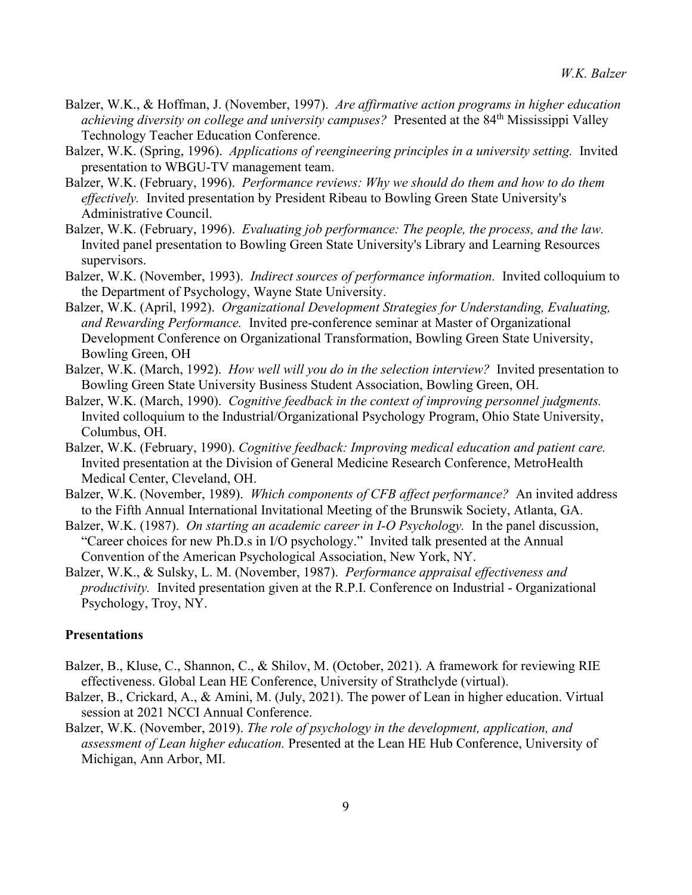- Balzer, W.K., & Hoffman, J. (November, 1997). *Are affirmative action programs in higher education*  achieving *diversity on college and university campuses*? Presented at the 84<sup>th</sup> Mississippi Valley Technology Teacher Education Conference.
- Balzer, W.K. (Spring, 1996). *Applications of reengineering principles in a university setting.* Invited presentation to WBGU-TV management team.
- Balzer, W.K. (February, 1996). *Performance reviews: Why we should do them and how to do them effectively.* Invited presentation by President Ribeau to Bowling Green State University's Administrative Council.
- Balzer, W.K. (February, 1996). *Evaluating job performance: The people, the process, and the law.* Invited panel presentation to Bowling Green State University's Library and Learning Resources supervisors.
- Balzer, W.K. (November, 1993). *Indirect sources of performance information.* Invited colloquium to the Department of Psychology, Wayne State University.
- Balzer, W.K. (April, 1992). *Organizational Development Strategies for Understanding, Evaluating, and Rewarding Performance.* Invited pre-conference seminar at Master of Organizational Development Conference on Organizational Transformation, Bowling Green State University, Bowling Green, OH
- Balzer, W.K. (March, 1992). *How well will you do in the selection interview?* Invited presentation to Bowling Green State University Business Student Association, Bowling Green, OH.
- Balzer, W.K. (March, 1990). *Cognitive feedback in the context of improving personnel judgments.*  Invited colloquium to the Industrial/Organizational Psychology Program, Ohio State University, Columbus, OH.
- Balzer, W.K. (February, 1990). *Cognitive feedback: Improving medical education and patient care.* Invited presentation at the Division of General Medicine Research Conference, MetroHealth Medical Center, Cleveland, OH.
- Balzer, W.K. (November, 1989). *Which components of CFB affect performance?* An invited address to the Fifth Annual International Invitational Meeting of the Brunswik Society, Atlanta, GA.
- Balzer, W.K. (1987). *On starting an academic career in I-O Psychology.* In the panel discussion, "Career choices for new Ph.D.s in I/O psychology." Invited talk presented at the Annual Convention of the American Psychological Association, New York, NY.
- Balzer, W.K., & Sulsky, L. M. (November, 1987). *Performance appraisal effectiveness and productivity.* Invited presentation given at the R.P.I. Conference on Industrial - Organizational Psychology, Troy, NY.

## **Presentations**

- Balzer, B., Kluse, C., Shannon, C., & Shilov, M. (October, 2021). A framework for reviewing RIE effectiveness. Global Lean HE Conference, University of Strathclyde (virtual).
- Balzer, B., Crickard, A., & Amini, M. (July, 2021). The power of Lean in higher education. Virtual session at 2021 NCCI Annual Conference.
- Balzer, W.K. (November, 2019). *The role of psychology in the development, application, and assessment of Lean higher education.* Presented at the Lean HE Hub Conference, University of Michigan, Ann Arbor, MI.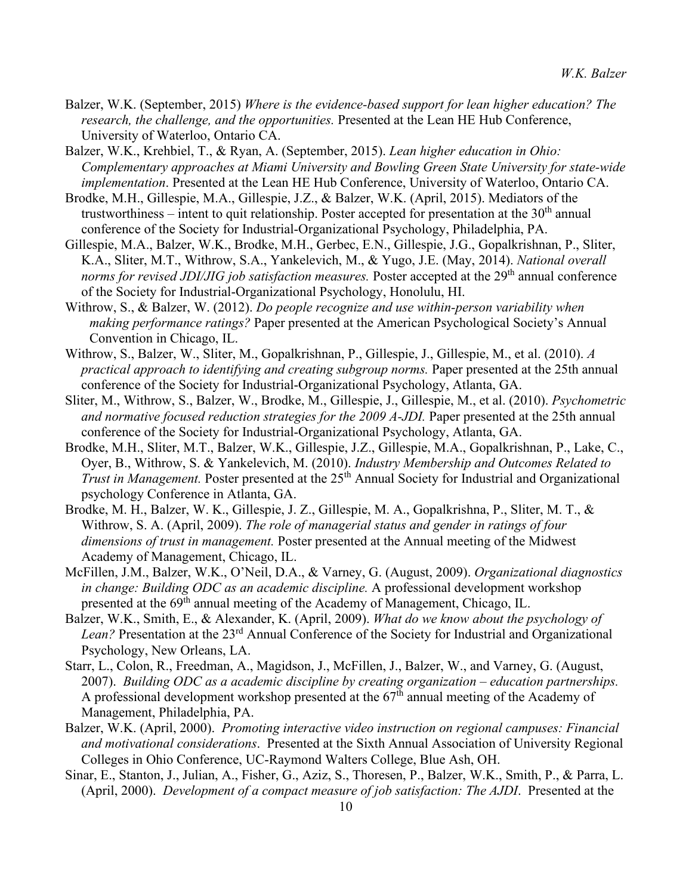- Balzer, W.K. (September, 2015) *Where is the evidence-based support for lean higher education? The research, the challenge, and the opportunities.* Presented at the Lean HE Hub Conference, University of Waterloo, Ontario CA.
- Balzer, W.K., Krehbiel, T., & Ryan, A. (September, 2015). *Lean higher education in Ohio: Complementary approaches at Miami University and Bowling Green State University for state-wide implementation*. Presented at the Lean HE Hub Conference, University of Waterloo, Ontario CA.
- Brodke, M.H., Gillespie, M.A., Gillespie, J.Z., & Balzer, W.K. (April, 2015). Mediators of the trustworthiness – intent to quit relationship. Poster accepted for presentation at the  $30<sup>th</sup>$  annual conference of the Society for Industrial-Organizational Psychology, Philadelphia, PA.
- Gillespie, M.A., Balzer, W.K., Brodke, M.H., Gerbec, E.N., Gillespie, J.G., Gopalkrishnan, P., Sliter, K.A., Sliter, M.T., Withrow, S.A., Yankelevich, M., & Yugo, J.E. (May, 2014). *National overall norms for revised JDI/JIG job satisfaction measures.* Poster accepted at the 29<sup>th</sup> annual conference of the Society for Industrial-Organizational Psychology, Honolulu, HI.
- Withrow, S., & Balzer, W. (2012). *Do people recognize and use within-person variability when making performance ratings?* Paper presented at the American Psychological Society's Annual Convention in Chicago, IL.
- Withrow, S., Balzer, W., Sliter, M., Gopalkrishnan, P., Gillespie, J., Gillespie, M., et al. (2010). *A practical approach to identifying and creating subgroup norms.* Paper presented at the 25th annual conference of the Society for Industrial-Organizational Psychology, Atlanta, GA.
- Sliter, M., Withrow, S., Balzer, W., Brodke, M., Gillespie, J., Gillespie, M., et al. (2010). *Psychometric and normative focused reduction strategies for the 2009 A-JDI.* Paper presented at the 25th annual conference of the Society for Industrial-Organizational Psychology, Atlanta, GA.
- Brodke, M.H., Sliter, M.T., Balzer, W.K., Gillespie, J.Z., Gillespie, M.A., Gopalkrishnan, P., Lake, C., Oyer, B., Withrow, S. & Yankelevich, M. (2010). *Industry Membership and Outcomes Related to Trust in Management.* Poster presented at the 25<sup>th</sup> Annual Society for Industrial and Organizational psychology Conference in Atlanta, GA.
- Brodke, M. H., Balzer, W. K., Gillespie, J. Z., Gillespie, M. A., Gopalkrishna, P., Sliter, M. T., & Withrow, S. A. (April, 2009). *The role of managerial status and gender in ratings of four dimensions of trust in management.* Poster presented at the Annual meeting of the Midwest Academy of Management, Chicago, IL.
- McFillen, J.M., Balzer, W.K., O'Neil, D.A., & Varney, G. (August, 2009). *Organizational diagnostics in change: Building ODC as an academic discipline.* A professional development workshop presented at the 69th annual meeting of the Academy of Management, Chicago, IL.
- Balzer, W.K., Smith, E., & Alexander, K. (April, 2009). *What do we know about the psychology of*  Lean? Presentation at the 23<sup>rd</sup> Annual Conference of the Society for Industrial and Organizational Psychology, New Orleans, LA.
- Starr, L., Colon, R., Freedman, A., Magidson, J., McFillen, J., Balzer, W., and Varney, G. (August, 2007). *Building ODC as a academic discipline by creating organization – education partnerships.* A professional development workshop presented at the  $67<sup>th</sup>$  annual meeting of the Academy of Management, Philadelphia, PA.
- Balzer, W.K. (April, 2000). *Promoting interactive video instruction on regional campuses: Financial and motivational considerations*. Presented at the Sixth Annual Association of University Regional Colleges in Ohio Conference, UC-Raymond Walters College, Blue Ash, OH.
- Sinar, E., Stanton, J., Julian, A., Fisher, G., Aziz, S., Thoresen, P., Balzer, W.K., Smith, P., & Parra, L. (April, 2000). *Development of a compact measure of job satisfaction: The AJDI*. Presented at the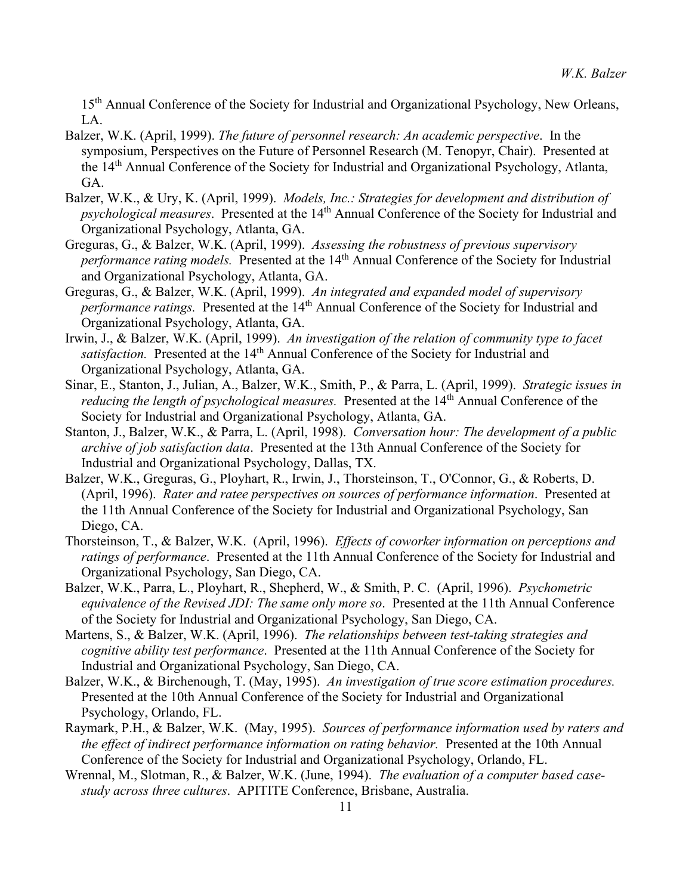15<sup>th</sup> Annual Conference of the Society for Industrial and Organizational Psychology, New Orleans, LA.

- Balzer, W.K. (April, 1999). *The future of personnel research: An academic perspective*. In the symposium, Perspectives on the Future of Personnel Research (M. Tenopyr, Chair). Presented at the 14th Annual Conference of the Society for Industrial and Organizational Psychology, Atlanta, GA.
- Balzer, W.K., & Ury, K. (April, 1999). *Models, Inc.: Strategies for development and distribution of psychological measures.* Presented at the 14<sup>th</sup> Annual Conference of the Society for Industrial and Organizational Psychology, Atlanta, GA.
- Greguras, G., & Balzer, W.K. (April, 1999). *Assessing the robustness of previous supervisory performance rating models.* Presented at the 14<sup>th</sup> Annual Conference of the Society for Industrial and Organizational Psychology, Atlanta, GA.
- Greguras, G., & Balzer, W.K. (April, 1999). *An integrated and expanded model of supervisory performance ratings.* Presented at the 14<sup>th</sup> Annual Conference of the Society for Industrial and Organizational Psychology, Atlanta, GA.
- Irwin, J., & Balzer, W.K. (April, 1999). *An investigation of the relation of community type to facet satisfaction.* Presented at the 14<sup>th</sup> Annual Conference of the Society for Industrial and Organizational Psychology, Atlanta, GA.
- Sinar, E., Stanton, J., Julian, A., Balzer, W.K., Smith, P., & Parra, L. (April, 1999). *Strategic issues in reducing the length of psychological measures.* Presented at the 14<sup>th</sup> Annual Conference of the Society for Industrial and Organizational Psychology, Atlanta, GA.
- Stanton, J., Balzer, W.K., & Parra, L. (April, 1998). *Conversation hour: The development of a public archive of job satisfaction data*. Presented at the 13th Annual Conference of the Society for Industrial and Organizational Psychology, Dallas, TX.
- Balzer, W.K., Greguras, G., Ployhart, R., Irwin, J., Thorsteinson, T., O'Connor, G., & Roberts, D. (April, 1996). *Rater and ratee perspectives on sources of performance information*. Presented at the 11th Annual Conference of the Society for Industrial and Organizational Psychology, San Diego, CA.
- Thorsteinson, T., & Balzer, W.K. (April, 1996). *Effects of coworker information on perceptions and ratings of performance*. Presented at the 11th Annual Conference of the Society for Industrial and Organizational Psychology, San Diego, CA.
- Balzer, W.K., Parra, L., Ployhart, R., Shepherd, W., & Smith, P. C. (April, 1996). *Psychometric equivalence of the Revised JDI: The same only more so*. Presented at the 11th Annual Conference of the Society for Industrial and Organizational Psychology, San Diego, CA.
- Martens, S., & Balzer, W.K. (April, 1996). *The relationships between test-taking strategies and cognitive ability test performance*. Presented at the 11th Annual Conference of the Society for Industrial and Organizational Psychology, San Diego, CA.
- Balzer, W.K., & Birchenough, T. (May, 1995). *An investigation of true score estimation procedures.*  Presented at the 10th Annual Conference of the Society for Industrial and Organizational Psychology, Orlando, FL.
- Raymark, P.H., & Balzer, W.K. (May, 1995). *Sources of performance information used by raters and the effect of indirect performance information on rating behavior.* Presented at the 10th Annual Conference of the Society for Industrial and Organizational Psychology, Orlando, FL.
- Wrennal, M., Slotman, R., & Balzer, W.K. (June, 1994). *The evaluation of a computer based casestudy across three cultures*. APITITE Conference, Brisbane, Australia.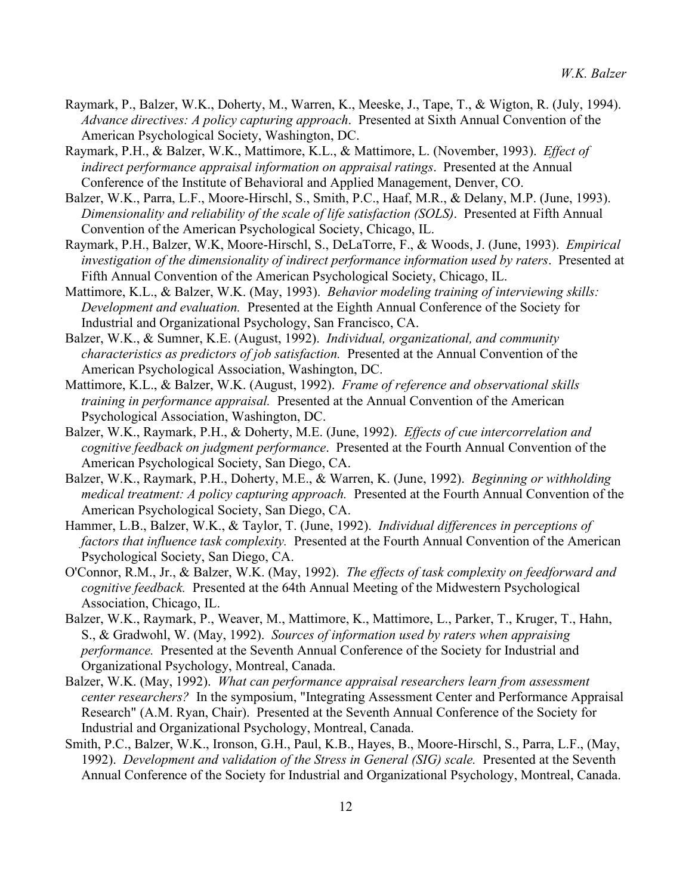- Raymark, P., Balzer, W.K., Doherty, M., Warren, K., Meeske, J., Tape, T., & Wigton, R. (July, 1994). *Advance directives: A policy capturing approach*. Presented at Sixth Annual Convention of the American Psychological Society, Washington, DC.
- Raymark, P.H., & Balzer, W.K., Mattimore, K.L., & Mattimore, L. (November, 1993). *Effect of indirect performance appraisal information on appraisal ratings*. Presented at the Annual Conference of the Institute of Behavioral and Applied Management, Denver, CO.
- Balzer, W.K., Parra, L.F., Moore-Hirschl, S., Smith, P.C., Haaf, M.R., & Delany, M.P. (June, 1993). *Dimensionality and reliability of the scale of life satisfaction (SOLS)*. Presented at Fifth Annual Convention of the American Psychological Society, Chicago, IL.
- Raymark, P.H., Balzer, W.K, Moore-Hirschl, S., DeLaTorre, F., & Woods, J. (June, 1993). *Empirical investigation of the dimensionality of indirect performance information used by raters*. Presented at Fifth Annual Convention of the American Psychological Society, Chicago, IL.
- Mattimore, K.L., & Balzer, W.K. (May, 1993). *Behavior modeling training of interviewing skills: Development and evaluation.* Presented at the Eighth Annual Conference of the Society for Industrial and Organizational Psychology, San Francisco, CA.
- Balzer, W.K., & Sumner, K.E. (August, 1992). *Individual, organizational, and community characteristics as predictors of job satisfaction.* Presented at the Annual Convention of the American Psychological Association, Washington, DC.
- Mattimore, K.L., & Balzer, W.K. (August, 1992). *Frame of reference and observational skills training in performance appraisal.* Presented at the Annual Convention of the American Psychological Association, Washington, DC.
- Balzer, W.K., Raymark, P.H., & Doherty, M.E. (June, 1992). *Effects of cue intercorrelation and cognitive feedback on judgment performance*. Presented at the Fourth Annual Convention of the American Psychological Society, San Diego, CA.
- Balzer, W.K., Raymark, P.H., Doherty, M.E., & Warren, K. (June, 1992). *Beginning or withholding medical treatment: A policy capturing approach.* Presented at the Fourth Annual Convention of the American Psychological Society, San Diego, CA.
- Hammer, L.B., Balzer, W.K., & Taylor, T. (June, 1992). *Individual differences in perceptions of factors that influence task complexity.* Presented at the Fourth Annual Convention of the American Psychological Society, San Diego, CA.
- O'Connor, R.M., Jr., & Balzer, W.K. (May, 1992). *The effects of task complexity on feedforward and cognitive feedback.* Presented at the 64th Annual Meeting of the Midwestern Psychological Association, Chicago, IL.
- Balzer, W.K., Raymark, P., Weaver, M., Mattimore, K., Mattimore, L., Parker, T., Kruger, T., Hahn, S., & Gradwohl, W. (May, 1992). *Sources of information used by raters when appraising performance.* Presented at the Seventh Annual Conference of the Society for Industrial and Organizational Psychology, Montreal, Canada.
- Balzer, W.K. (May, 1992). *What can performance appraisal researchers learn from assessment center researchers?* In the symposium, "Integrating Assessment Center and Performance Appraisal Research" (A.M. Ryan, Chair). Presented at the Seventh Annual Conference of the Society for Industrial and Organizational Psychology, Montreal, Canada.
- Smith, P.C., Balzer, W.K., Ironson, G.H., Paul, K.B., Hayes, B., Moore-Hirschl, S., Parra, L.F., (May, 1992). *Development and validation of the Stress in General (SIG) scale.* Presented at the Seventh Annual Conference of the Society for Industrial and Organizational Psychology, Montreal, Canada.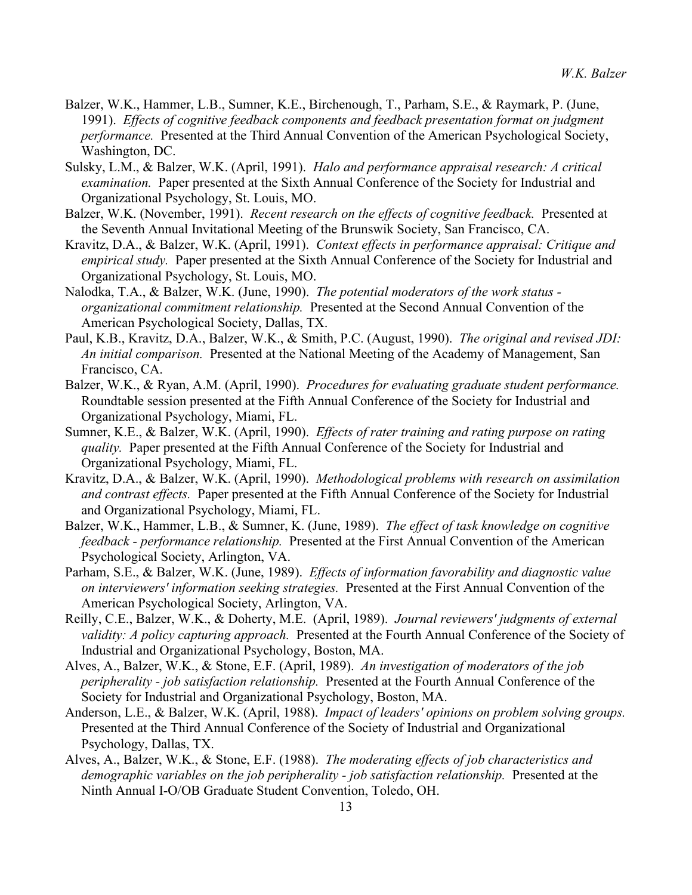- Balzer, W.K., Hammer, L.B., Sumner, K.E., Birchenough, T., Parham, S.E., & Raymark, P. (June, 1991). *Effects of cognitive feedback components and feedback presentation format on judgment performance.* Presented at the Third Annual Convention of the American Psychological Society, Washington, DC.
- Sulsky, L.M., & Balzer, W.K. (April, 1991). *Halo and performance appraisal research: A critical examination.* Paper presented at the Sixth Annual Conference of the Society for Industrial and Organizational Psychology, St. Louis, MO.
- Balzer, W.K. (November, 1991). *Recent research on the effects of cognitive feedback.* Presented at the Seventh Annual Invitational Meeting of the Brunswik Society, San Francisco, CA.
- Kravitz, D.A., & Balzer, W.K. (April, 1991). *Context effects in performance appraisal: Critique and empirical study.* Paper presented at the Sixth Annual Conference of the Society for Industrial and Organizational Psychology, St. Louis, MO.
- Nalodka, T.A., & Balzer, W.K. (June, 1990). *The potential moderators of the work status organizational commitment relationship.* Presented at the Second Annual Convention of the American Psychological Society, Dallas, TX.
- Paul, K.B., Kravitz, D.A., Balzer, W.K., & Smith, P.C. (August, 1990). *The original and revised JDI: An initial comparison.* Presented at the National Meeting of the Academy of Management, San Francisco, CA.
- Balzer, W.K., & Ryan, A.M. (April, 1990). *Procedures for evaluating graduate student performance.*  Roundtable session presented at the Fifth Annual Conference of the Society for Industrial and Organizational Psychology, Miami, FL.
- Sumner, K.E., & Balzer, W.K. (April, 1990). *Effects of rater training and rating purpose on rating quality.* Paper presented at the Fifth Annual Conference of the Society for Industrial and Organizational Psychology, Miami, FL.
- Kravitz, D.A., & Balzer, W.K. (April, 1990). *Methodological problems with research on assimilation and contrast effects.* Paper presented at the Fifth Annual Conference of the Society for Industrial and Organizational Psychology, Miami, FL.
- Balzer, W.K., Hammer, L.B., & Sumner, K. (June, 1989). *The effect of task knowledge on cognitive feedback - performance relationship.* Presented at the First Annual Convention of the American Psychological Society, Arlington, VA.
- Parham, S.E., & Balzer, W.K. (June, 1989). *Effects of information favorability and diagnostic value on interviewers' information seeking strategies.* Presented at the First Annual Convention of the American Psychological Society, Arlington, VA.
- Reilly, C.E., Balzer, W.K., & Doherty, M.E. (April, 1989). *Journal reviewers' judgments of external validity: A policy capturing approach.* Presented at the Fourth Annual Conference of the Society of Industrial and Organizational Psychology, Boston, MA.
- Alves, A., Balzer, W.K., & Stone, E.F. (April, 1989). *An investigation of moderators of the job peripherality - job satisfaction relationship.* Presented at the Fourth Annual Conference of the Society for Industrial and Organizational Psychology, Boston, MA.
- Anderson, L.E., & Balzer, W.K. (April, 1988). *Impact of leaders' opinions on problem solving groups.*  Presented at the Third Annual Conference of the Society of Industrial and Organizational Psychology, Dallas, TX.
- Alves, A., Balzer, W.K., & Stone, E.F. (1988). *The moderating effects of job characteristics and demographic variables on the job peripherality - job satisfaction relationship.* Presented at the Ninth Annual I-O/OB Graduate Student Convention, Toledo, OH.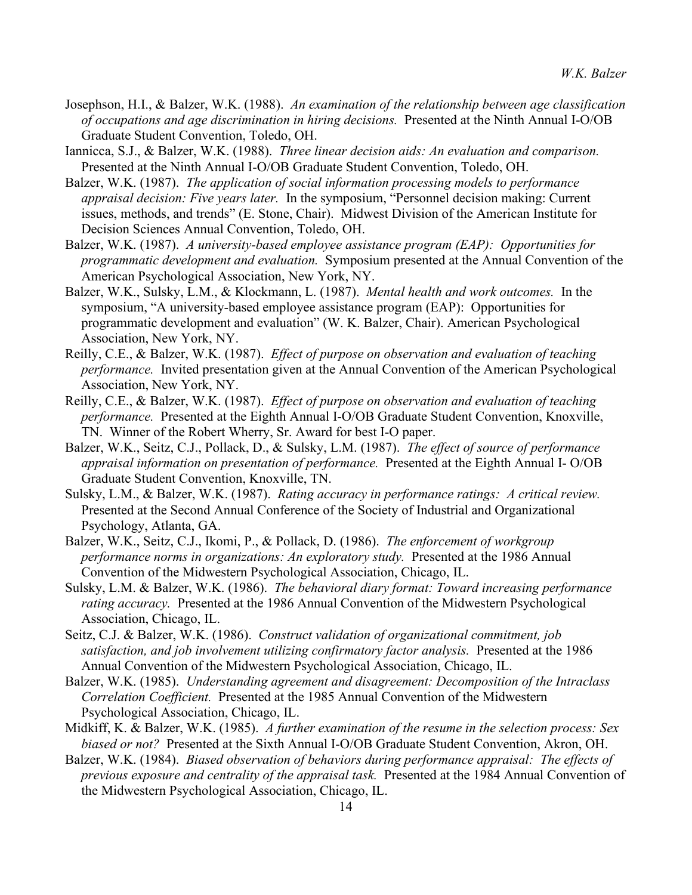- Josephson, H.I., & Balzer, W.K. (1988). *An examination of the relationship between age classification of occupations and age discrimination in hiring decisions.* Presented at the Ninth Annual I-O/OB Graduate Student Convention, Toledo, OH.
- Iannicca, S.J., & Balzer, W.K. (1988). *Three linear decision aids: An evaluation and comparison.*  Presented at the Ninth Annual I-O/OB Graduate Student Convention, Toledo, OH.
- Balzer, W.K. (1987). *The application of social information processing models to performance appraisal decision: Five years later.* In the symposium, "Personnel decision making: Current issues, methods, and trends" (E. Stone, Chair). Midwest Division of the American Institute for Decision Sciences Annual Convention, Toledo, OH.
- Balzer, W.K. (1987). *A university-based employee assistance program (EAP): Opportunities for programmatic development and evaluation.* Symposium presented at the Annual Convention of the American Psychological Association, New York, NY.
- Balzer, W.K., Sulsky, L.M., & Klockmann, L. (1987). *Mental health and work outcomes.* In the symposium, "A university-based employee assistance program (EAP): Opportunities for programmatic development and evaluation" (W. K. Balzer, Chair). American Psychological Association, New York, NY.
- Reilly, C.E., & Balzer, W.K. (1987). *Effect of purpose on observation and evaluation of teaching performance.* Invited presentation given at the Annual Convention of the American Psychological Association, New York, NY.
- Reilly, C.E., & Balzer, W.K. (1987). *Effect of purpose on observation and evaluation of teaching performance.* Presented at the Eighth Annual I-O/OB Graduate Student Convention, Knoxville, TN. Winner of the Robert Wherry, Sr. Award for best I-O paper.
- Balzer, W.K., Seitz, C.J., Pollack, D., & Sulsky, L.M. (1987). *The effect of source of performance appraisal information on presentation of performance.* Presented at the Eighth Annual I- O/OB Graduate Student Convention, Knoxville, TN.
- Sulsky, L.M., & Balzer, W.K. (1987). *Rating accuracy in performance ratings: A critical review.*  Presented at the Second Annual Conference of the Society of Industrial and Organizational Psychology, Atlanta, GA.
- Balzer, W.K., Seitz, C.J., Ikomi, P., & Pollack, D. (1986). *The enforcement of workgroup performance norms in organizations: An exploratory study.* Presented at the 1986 Annual Convention of the Midwestern Psychological Association, Chicago, IL.
- Sulsky, L.M. & Balzer, W.K. (1986). *The behavioral diary format: Toward increasing performance rating accuracy.* Presented at the 1986 Annual Convention of the Midwestern Psychological Association, Chicago, IL.
- Seitz, C.J. & Balzer, W.K. (1986). *Construct validation of organizational commitment, job satisfaction, and job involvement utilizing confirmatory factor analysis.* Presented at the 1986 Annual Convention of the Midwestern Psychological Association, Chicago, IL.
- Balzer, W.K. (1985). *Understanding agreement and disagreement: Decomposition of the Intraclass Correlation Coefficient.* Presented at the 1985 Annual Convention of the Midwestern Psychological Association, Chicago, IL.
- Midkiff, K. & Balzer, W.K. (1985). *A further examination of the resume in the selection process: Sex biased or not?* Presented at the Sixth Annual I-O/OB Graduate Student Convention, Akron, OH.
- Balzer, W.K. (1984). *Biased observation of behaviors during performance appraisal: The effects of previous exposure and centrality of the appraisal task.* Presented at the 1984 Annual Convention of the Midwestern Psychological Association, Chicago, IL.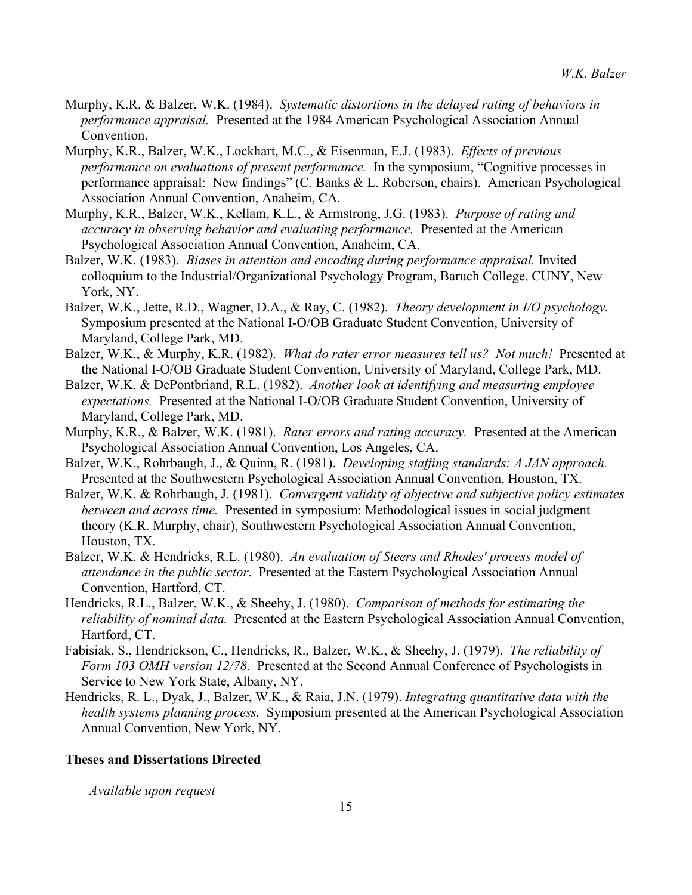- Murphy, K.R. & Balzer, W.K. (1984). *Systematic distortions in the delayed rating of behaviors in performance appraisal.* Presented at the 1984 American Psychological Association Annual Convention.
- Murphy, K.R., Balzer, W.K., Lockhart, M.C., & Eisenman, E.J. (1983). *Effects of previous performance on evaluations of present performance.* In the symposium, "Cognitive processes in performance appraisal: New findings" (C. Banks & L. Roberson, chairs). American Psychological Association Annual Convention, Anaheim, CA.
- Murphy, K.R., Balzer, W.K., Kellam, K.L., & Armstrong, J.G. (1983). *Purpose of rating and accuracy in observing behavior and evaluating performance.* Presented at the American Psychological Association Annual Convention, Anaheim, CA.
- Balzer, W.K. (1983). *Biases in attention and encoding during performance appraisal.* Invited colloquium to the Industrial/Organizational Psychology Program, Baruch College, CUNY, New York, NY.
- Balzer, W.K., Jette, R.D., Wagner, D.A., & Ray, C. (1982). *Theory development in I/O psychology.*  Symposium presented at the National I-O/OB Graduate Student Convention, University of Maryland, College Park, MD.
- Balzer, W.K., & Murphy, K.R. (1982). *What do rater error measures tell us? Not much!* Presented at the National I-O/OB Graduate Student Convention, University of Maryland, College Park, MD.
- Balzer, W.K. & DePontbriand, R.L. (1982). *Another look at identifying and measuring employee expectations.* Presented at the National I-O/OB Graduate Student Convention, University of Maryland, College Park, MD.
- Murphy, K.R., & Balzer, W.K. (1981). *Rater errors and rating accuracy.* Presented at the American Psychological Association Annual Convention, Los Angeles, CA.
- Balzer, W.K., Rohrbaugh, J., & Quinn, R. (1981). *Developing staffing standards: A JAN approach.*  Presented at the Southwestern Psychological Association Annual Convention, Houston, TX.
- Balzer, W.K. & Rohrbaugh, J. (1981). *Convergent validity of objective and subjective policy estimates between and across time.* Presented in symposium: Methodological issues in social judgment theory (K.R. Murphy, chair), Southwestern Psychological Association Annual Convention, Houston, TX.
- Balzer, W.K. & Hendricks, R.L. (1980). *An evaluation of Steers and Rhodes' process model of attendance in the public sector*. Presented at the Eastern Psychological Association Annual Convention, Hartford, CT.
- Hendricks, R.L., Balzer, W.K., & Sheehy, J. (1980). *Comparison of methods for estimating the reliability of nominal data.* Presented at the Eastern Psychological Association Annual Convention, Hartford, CT.
- Fabisiak, S., Hendrickson, C., Hendricks, R., Balzer, W.K., & Sheehy, J. (1979). *The reliability of Form 103 OMH version 12/78.* Presented at the Second Annual Conference of Psychologists in Service to New York State, Albany, NY.
- Hendricks, R. L., Dyak, J., Balzer, W.K., & Raia, J.N. (1979). *Integrating quantitative data with the health systems planning process.* Symposium presented at the American Psychological Association Annual Convention, New York, NY.

## **Theses and Dissertations Directed**

*Available upon request*